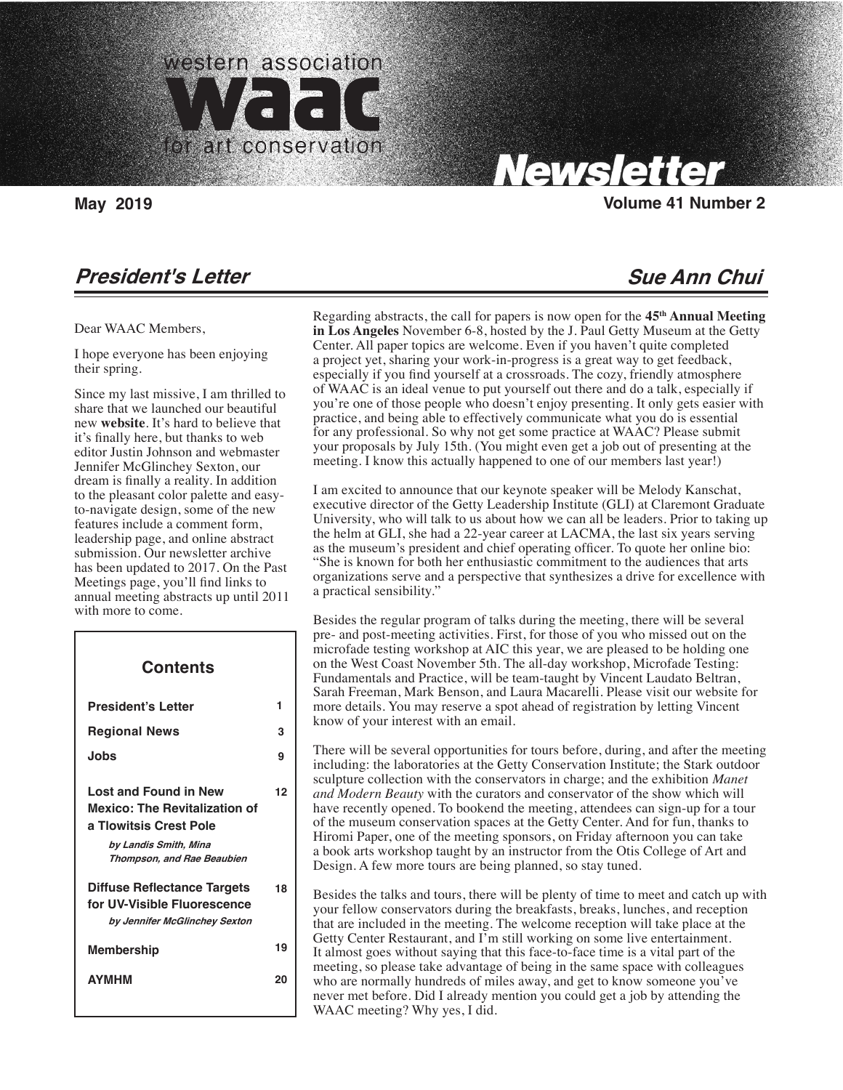

Carolyn Tallent, Editor

# Newsletter

**May 2019 Volume 41 Number 2**

### **President's Letter**

#### Dear WAAC Members,

I hope everyone has been enjoying their spring.

Since my last missive, I am thrilled to share that we launched our beautiful new **website**. It's hard to believe that it's finally here, but thanks to web editor Justin Johnson and webmaster Jennifer McGlinchey Sexton, our dream is finally a reality. In addition to the pleasant color palette and easyto-navigate design, some of the new features include a comment form, leadership page, and online abstract submission. Our newsletter archive has been updated to 2017. On the Past Meetings page, you'll find links to annual meeting abstracts up until 2011 with more to come.

# **President's Letter Regional News Jobs Lost and Found in New Mexico: The Revitalization of a Tlowitsis Crest Pole Contents**

 **1 3 9**

 **12**

 **18**

 $\overline{\phantom{a}}$ 

 **by Landis Smith, Mina Thompson, and Rae Beaubien**

### **Diffuse Reflectance Targets for UV-Visible Fluorescence by Jennifer McGlinchey Sexton**

| <b>Membership</b> | 19 |
|-------------------|----|
| <b>AYMHM</b>      | 20 |

## **Sue Ann Chui**

Regarding abstracts, the call for papers is now open for the **45th Annual Meeting in Los Angeles** November 6-8, hosted by the J. Paul Getty Museum at the Getty Center. All paper topics are welcome. Even if you haven't quite completed a project yet, sharing your work-in-progress is a great way to get feedback, especially if you find yourself at a crossroads. The cozy, friendly atmosphere of WAAC is an ideal venue to put yourself out there and do a talk, especially if you're one of those people who doesn't enjoy presenting. It only gets easier with practice, and being able to effectively communicate what you do is essential for any professional. So why not get some practice at WAAC? Please submit your proposals by July 15th. (You might even get a job out of presenting at the meeting. I know this actually happened to one of our members last year!)

I am excited to announce that our keynote speaker will be Melody Kanschat, executive director of the Getty Leadership Institute (GLI) at Claremont Graduate University, who will talk to us about how we can all be leaders. Prior to taking up the helm at GLI, she had a 22-year career at LACMA, the last six years serving as the museum's president and chief operating officer. To quote her online bio: "She is known for both her enthusiastic commitment to the audiences that arts organizations serve and a perspective that synthesizes a drive for excellence with a practical sensibility."

Besides the regular program of talks during the meeting, there will be several pre- and post-meeting activities. First, for those of you who missed out on the microfade testing workshop at AIC this year, we are pleased to be holding one on the West Coast November 5th. The all-day workshop, Microfade Testing: Fundamentals and Practice, will be team-taught by Vincent Laudato Beltran, Sarah Freeman, Mark Benson, and Laura Macarelli. Please visit our website for more details. You may reserve a spot ahead of registration by letting Vincent know of your interest with an email.

There will be several opportunities for tours before, during, and after the meeting including: the laboratories at the Getty Conservation Institute; the Stark outdoor sculpture collection with the conservators in charge; and the exhibition *Manet and Modern Beauty* with the curators and conservator of the show which will have recently opened. To bookend the meeting, attendees can sign-up for a tour of the museum conservation spaces at the Getty Center. And for fun, thanks to Hiromi Paper, one of the meeting sponsors, on Friday afternoon you can take a book arts workshop taught by an instructor from the Otis College of Art and Design. A few more tours are being planned, so stay tuned.

Besides the talks and tours, there will be plenty of time to meet and catch up with your fellow conservators during the breakfasts, breaks, lunches, and reception that are included in the meeting. The welcome reception will take place at the Getty Center Restaurant, and I'm still working on some live entertainment. It almost goes without saying that this face-to-face time is a vital part of the meeting, so please take advantage of being in the same space with colleagues who are normally hundreds of miles away, and get to know someone you've never met before. Did I already mention you could get a job by attending the WAAC meeting? Why yes, I did.